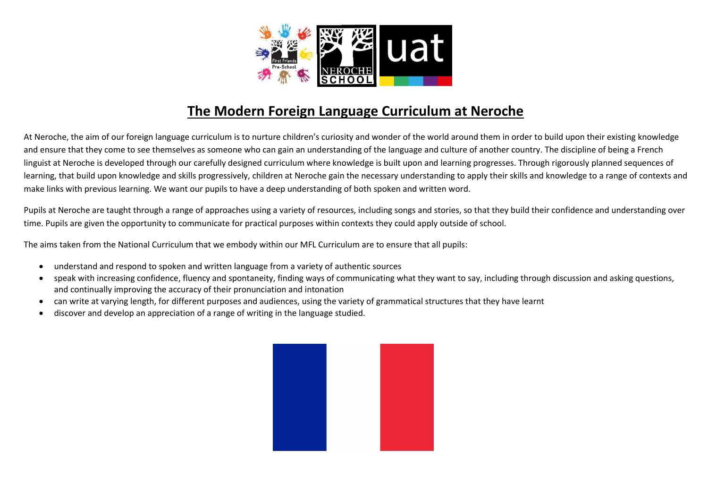

# The Modern Foreign Language Curriculum at Neroche

At Neroche, the aim of our foreign language curriculum is to nurture children's curiosity and wonder of the world around them in order to build upon their existing knowledge and ensure that they come to see themselves as someone who can gain an understanding of the language and culture of another country. The discipline of being a French linguist at Neroche is developed through our carefully designed curriculum where knowledge is built upon and learning progresses. Through rigorously planned sequences of learning, that build upon knowledge and skills progressively, children at Neroche gain the necessary understanding to apply their skills and knowledge to a range of contexts and make links with previous learning. We want our pupils to have a deep understanding of both spoken and written word.

Pupils at Neroche are taught through a range of approaches using a variety of resources, including songs and stories, so that they build their confidence and understanding over time. Pupils are given the opportunity to communicate for practical purposes within contexts they could apply outside of school.

The aims taken from the National Curriculum that we embody within our MFL Curriculum are to ensure that all pupils:

- understand and respond to spoken and written language from a variety of authentic sources
- speak with increasing confidence, fluency and spontaneity, finding ways of communicating what they want to say, including through discussion and asking questions, and continually improving the accuracy of their pronunciation and intonation
- can write at varying length, for different purposes and audiences, using the variety of grammatical structures that they have learnt
- discover and develop an appreciation of a range of writing in the language studied.

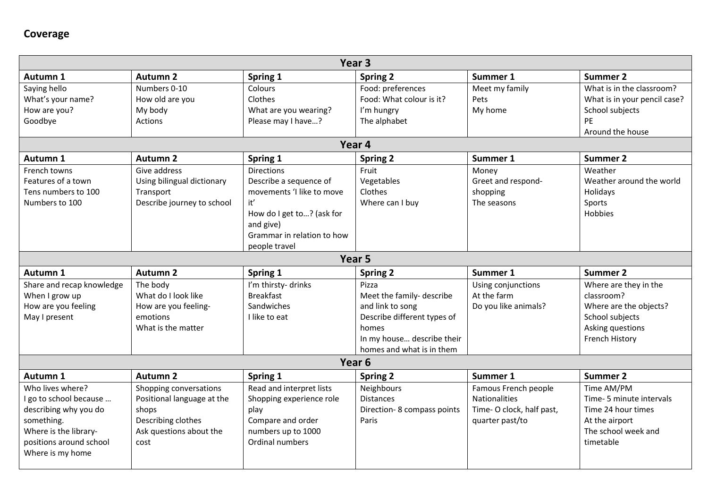### Coverage

| Year <sub>3</sub>         |                            |                            |                             |                           |                              |  |
|---------------------------|----------------------------|----------------------------|-----------------------------|---------------------------|------------------------------|--|
| Autumn 1                  | <b>Autumn 2</b>            | Spring 1                   | <b>Spring 2</b>             | Summer 1                  | <b>Summer 2</b>              |  |
| Saying hello              | Numbers 0-10               | Colours                    | Food: preferences           | Meet my family            | What is in the classroom?    |  |
| What's your name?         | How old are you            | Clothes                    | Food: What colour is it?    | Pets                      | What is in your pencil case? |  |
| How are you?              | My body                    | What are you wearing?      | I'm hungry                  | My home                   | School subjects              |  |
| Goodbye                   | <b>Actions</b>             | Please may I have?         | The alphabet                |                           | PE                           |  |
|                           |                            |                            |                             |                           | Around the house             |  |
|                           | Year 4                     |                            |                             |                           |                              |  |
| Autumn 1                  | Autumn 2                   | Spring 1                   | <b>Spring 2</b>             | Summer 1                  | <b>Summer 2</b>              |  |
| French towns              | Give address               | <b>Directions</b>          | Fruit                       | Money                     | Weather                      |  |
| Features of a town        | Using bilingual dictionary | Describe a sequence of     | Vegetables                  | Greet and respond-        | Weather around the world     |  |
| Tens numbers to 100       | Transport                  | movements 'I like to move  | Clothes                     | shopping                  | Holidays                     |  |
| Numbers to 100            | Describe journey to school | iť                         | Where can I buy             | The seasons               | Sports                       |  |
|                           |                            | How do I get to? (ask for  |                             |                           | Hobbies                      |  |
|                           |                            | and give)                  |                             |                           |                              |  |
|                           |                            | Grammar in relation to how |                             |                           |                              |  |
|                           |                            | people travel              |                             |                           |                              |  |
|                           |                            |                            | Year <sub>5</sub>           |                           |                              |  |
| Autumn 1                  | <b>Autumn 2</b>            | Spring 1                   | <b>Spring 2</b>             | Summer 1                  | <b>Summer 2</b>              |  |
| Share and recap knowledge | The body                   | I'm thirsty- drinks        | Pizza                       | Using conjunctions        | Where are they in the        |  |
| When I grow up            | What do I look like        | <b>Breakfast</b>           | Meet the family- describe   | At the farm               | classroom?                   |  |
| How are you feeling       | How are you feeling-       | Sandwiches                 | and link to song            | Do you like animals?      | Where are the objects?       |  |
| May I present             | emotions                   | I like to eat              | Describe different types of |                           | School subjects              |  |
|                           | What is the matter         |                            | homes                       |                           | Asking questions             |  |
|                           |                            |                            | In my house describe their  |                           | French History               |  |
|                           |                            |                            | homes and what is in them   |                           |                              |  |
| Year <sub>6</sub>         |                            |                            |                             |                           |                              |  |
| Autumn 1                  | <b>Autumn 2</b>            | Spring 1                   | Spring 2                    | Summer 1                  | <b>Summer 2</b>              |  |
| Who lives where?          | Shopping conversations     | Read and interpret lists   | Neighbours                  | Famous French people      | Time AM/PM                   |  |
| I go to school because    | Positional language at the | Shopping experience role   | <b>Distances</b>            | <b>Nationalities</b>      | Time- 5 minute intervals     |  |
| describing why you do     | shops                      | play                       | Direction-8 compass points  | Time- O clock, half past, | Time 24 hour times           |  |
| something.                | Describing clothes         | Compare and order          | Paris                       | quarter past/to           | At the airport               |  |
| Where is the library-     | Ask questions about the    | numbers up to 1000         |                             |                           | The school week and          |  |
| positions around school   | cost                       | Ordinal numbers            |                             |                           | timetable                    |  |
| Where is my home          |                            |                            |                             |                           |                              |  |
|                           |                            |                            |                             |                           |                              |  |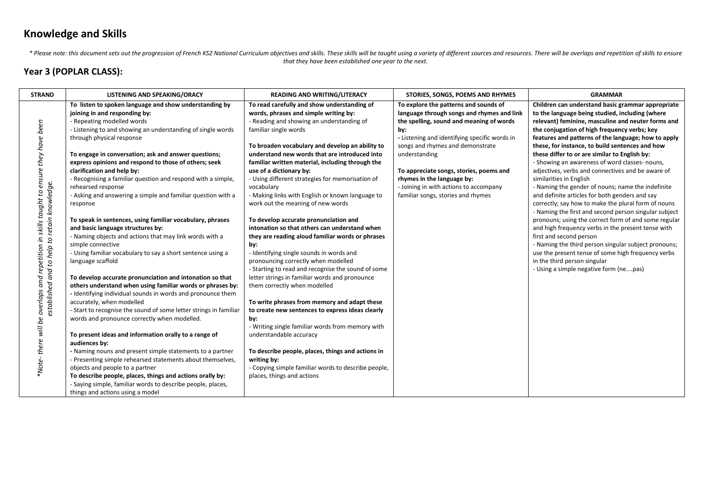### Knowledge and Skills

\* Please note: this document sets out the progression of French KS2 National Curriculum objectives and skills. These skills will be taught using a variety of different sources and resources. There will be overlaps and repe *that they have been established one year to the next.*

#### Year 3 (POPLAR CLASS):

| <b>STRAND</b>                                                                             | LISTENING AND SPEAKING/ORACY                                      | <b>READING AND WRITING/LITERACY</b>                 | STORIES, SONGS, POEMS AND RHYMES              | <b>GRAMMAR</b>                                        |
|-------------------------------------------------------------------------------------------|-------------------------------------------------------------------|-----------------------------------------------------|-----------------------------------------------|-------------------------------------------------------|
|                                                                                           | To listen to spoken language and show understanding by            | To read carefully and show understanding of         | To explore the patterns and sounds of         | Children can understand basic grammar appropriate     |
|                                                                                           | joining in and responding by:                                     | words, phrases and simple writing by:               | language through songs and rhymes and link    | to the language being studied, including (where       |
|                                                                                           | - Repeating modelled words                                        | - Reading and showing an understanding of           | the spelling, sound and meaning of words      | relevant) feminine, masculine and neuter forms and    |
|                                                                                           | - Listening to and showing an understanding of single words       | familiar single words                               | by:                                           | the conjugation of high frequency verbs; key          |
|                                                                                           | through physical response                                         |                                                     | - Listening and identifying specific words in | features and patterns of the language; how to apply   |
|                                                                                           |                                                                   | To broaden vocabulary and develop an ability to     | songs and rhymes and demonstrate              | these, for instance, to build sentences and how       |
|                                                                                           | To engage in conversation; ask and answer questions;              | understand new words that are introduced into       | understanding                                 | these differ to or are similar to English by:         |
|                                                                                           | express opinions and respond to those of others; seek             | familiar written material, including through the    |                                               | - Showing an awareness of word classes- nouns,        |
|                                                                                           | clarification and help by:                                        | use of a dictionary by:                             | To appreciate songs, stories, poems and       | adjectives, verbs and connectives and be aware of     |
|                                                                                           | - Recognising a familiar question and respond with a simple,      | - Using different strategies for memorisation of    | rhymes in the language by:                    | similarities in English                               |
|                                                                                           | rehearsed response                                                | vocabulary                                          | - Joining in with actions to accompany        | - Naming the gender of nouns; name the indefinite     |
|                                                                                           | - Asking and answering a simple and familiar question with a      | - Making links with English or known language to    | familiar songs, stories and rhymes            | and definite articles for both genders and say        |
|                                                                                           | response                                                          | work out the meaning of new words                   |                                               | correctly; say how to make the plural form of nouns   |
|                                                                                           |                                                                   |                                                     |                                               | - Naming the first and second person singular subject |
|                                                                                           | To speak in sentences, using familiar vocabulary, phrases         | To develop accurate pronunciation and               |                                               | pronouns; using the correct form of and some regular  |
|                                                                                           | and basic language structures by:                                 | intonation so that others can understand when       |                                               | and high frequency verbs in the present tense with    |
| in skills taught to ensure they have been<br>established and to help to retain knowledge. | - Naming objects and actions that may link words with a           | they are reading aloud familiar words or phrases    |                                               | first and second person                               |
|                                                                                           | simple connective                                                 | by:                                                 |                                               | - Naming the third person singular subject pronouns;  |
|                                                                                           | - Using familiar vocabulary to say a short sentence using a       | - Identifying single sounds in words and            |                                               | use the present tense of some high frequency verbs    |
|                                                                                           | language scaffold                                                 | pronouncing correctly when modelled                 |                                               | in the third person singular                          |
|                                                                                           |                                                                   | - Starting to read and recognise the sound of some  |                                               | - Using a simple negative form (nepas)                |
|                                                                                           | To develop accurate pronunciation and intonation so that          | letter strings in familiar words and pronounce      |                                               |                                                       |
|                                                                                           | others understand when using familiar words or phrases by:        | them correctly when modelled                        |                                               |                                                       |
|                                                                                           | - Identifying individual sounds in words and pronounce them       |                                                     |                                               |                                                       |
|                                                                                           | accurately, when modelled                                         | To write phrases from memory and adapt these        |                                               |                                                       |
|                                                                                           | - Start to recognise the sound of some letter strings in familiar | to create new sentences to express ideas clearly    |                                               |                                                       |
|                                                                                           | words and pronounce correctly when modelled.                      | by:                                                 |                                               |                                                       |
|                                                                                           |                                                                   | - Writing single familiar words from memory with    |                                               |                                                       |
|                                                                                           | To present ideas and information orally to a range of             | understandable accuracy                             |                                               |                                                       |
|                                                                                           | audiences by:                                                     |                                                     |                                               |                                                       |
| *Note- there will be overlaps and repetition                                              | - Naming nouns and present simple statements to a partner         | To describe people, places, things and actions in   |                                               |                                                       |
|                                                                                           | - Presenting simple rehearsed statements about themselves,        | writing by:                                         |                                               |                                                       |
|                                                                                           | objects and people to a partner                                   | - Copying simple familiar words to describe people, |                                               |                                                       |
|                                                                                           | To describe people, places, things and actions orally by:         | places, things and actions                          |                                               |                                                       |
|                                                                                           | - Saying simple, familiar words to describe people, places,       |                                                     |                                               |                                                       |
|                                                                                           | things and actions using a model                                  |                                                     |                                               |                                                       |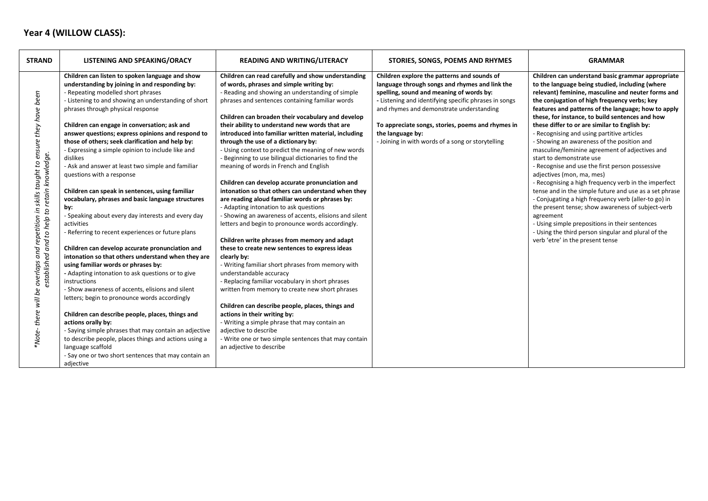### Year 4 (WILLOW CLASS):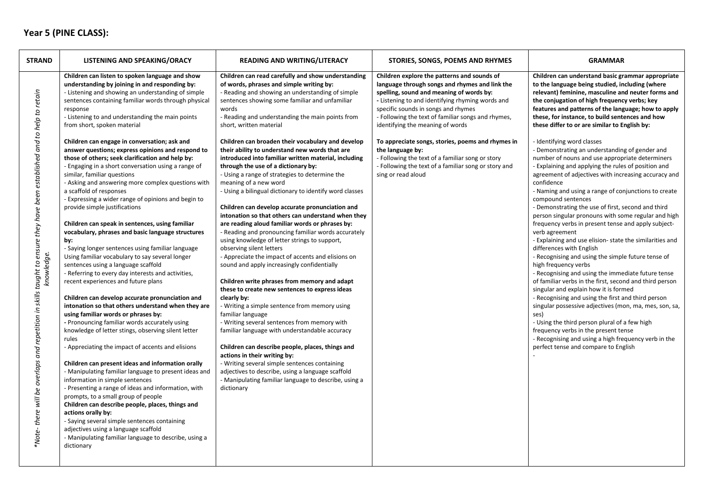### Year 5 (PINE CLASS):

| <b>STRAND</b>                                                                                                                          | LISTENING AND SPEAKING/ORACY                                                                                                                                                                                                                                                                                                                                                                                                                                                                                                                                                                                                                                                                                                                                                                                                                                                                                                                                                                                                                                                                                                                                                                                                                                                                                                                                                                                                                                                                                                                                             | <b>READING AND WRITING/LITERACY</b>                                                                                                                                                                                                                                                                                                                                                                                                                                                                                                                                                                                                                                                                                                                                                                                                                                                                                                                                                                                                                                                                                                                                                                                                                                                                                                                                                                                                                                                                                                                                                       | STORIES, SONGS, POEMS AND RHYMES                                                                                                                                                                                                                                                                                                                                                                                                                                                                                                          | <b>GRAMMAR</b>                                                                                                                                                                                                                                                                                                                                                                                                                                                                                                                                                                                                                                                                                                                                                                                                                                                                                                                                                                                                                                                                                                                                                                                                                                                                                                                                                                                                                                                                                                                                             |
|----------------------------------------------------------------------------------------------------------------------------------------|--------------------------------------------------------------------------------------------------------------------------------------------------------------------------------------------------------------------------------------------------------------------------------------------------------------------------------------------------------------------------------------------------------------------------------------------------------------------------------------------------------------------------------------------------------------------------------------------------------------------------------------------------------------------------------------------------------------------------------------------------------------------------------------------------------------------------------------------------------------------------------------------------------------------------------------------------------------------------------------------------------------------------------------------------------------------------------------------------------------------------------------------------------------------------------------------------------------------------------------------------------------------------------------------------------------------------------------------------------------------------------------------------------------------------------------------------------------------------------------------------------------------------------------------------------------------------|-------------------------------------------------------------------------------------------------------------------------------------------------------------------------------------------------------------------------------------------------------------------------------------------------------------------------------------------------------------------------------------------------------------------------------------------------------------------------------------------------------------------------------------------------------------------------------------------------------------------------------------------------------------------------------------------------------------------------------------------------------------------------------------------------------------------------------------------------------------------------------------------------------------------------------------------------------------------------------------------------------------------------------------------------------------------------------------------------------------------------------------------------------------------------------------------------------------------------------------------------------------------------------------------------------------------------------------------------------------------------------------------------------------------------------------------------------------------------------------------------------------------------------------------------------------------------------------------|-------------------------------------------------------------------------------------------------------------------------------------------------------------------------------------------------------------------------------------------------------------------------------------------------------------------------------------------------------------------------------------------------------------------------------------------------------------------------------------------------------------------------------------------|------------------------------------------------------------------------------------------------------------------------------------------------------------------------------------------------------------------------------------------------------------------------------------------------------------------------------------------------------------------------------------------------------------------------------------------------------------------------------------------------------------------------------------------------------------------------------------------------------------------------------------------------------------------------------------------------------------------------------------------------------------------------------------------------------------------------------------------------------------------------------------------------------------------------------------------------------------------------------------------------------------------------------------------------------------------------------------------------------------------------------------------------------------------------------------------------------------------------------------------------------------------------------------------------------------------------------------------------------------------------------------------------------------------------------------------------------------------------------------------------------------------------------------------------------------|
| *Note- there will be overlaps and repetition in skills taught to ensure they have been established and to help to retain<br>knowledge. | Children can listen to spoken language and show<br>understanding by joining in and responding by:<br>- Listening and showing an understanding of simple<br>sentences containing familiar words through physical<br>response<br>- Listening to and understanding the main points<br>from short, spoken material<br>Children can engage in conversation; ask and<br>answer questions; express opinions and respond to<br>those of others; seek clarification and help by:<br>- Engaging in a short conversation using a range of<br>similar, familiar questions<br>- Asking and answering more complex questions with<br>a scaffold of responses<br>- Expressing a wider range of opinions and begin to<br>provide simple justifications<br>Children can speak in sentences, using familiar<br>vocabulary, phrases and basic language structures<br>by:<br>- Saying longer sentences using familiar language<br>Using familiar vocabulary to say several longer<br>sentences using a language scaffold<br>- Referring to every day interests and activities,<br>recent experiences and future plans<br>Children can develop accurate pronunciation and<br>intonation so that others understand when they are<br>using familiar words or phrases by:<br>- Pronouncing familiar words accurately using<br>knowledge of letter stings, observing silent letter<br>rules<br>- Appreciating the impact of accents and elisions<br>Children can present ideas and information orally<br>- Manipulating familiar language to present ideas and<br>information in simple sentences | Children can read carefully and show understanding<br>of words, phrases and simple writing by:<br>- Reading and showing an understanding of simple<br>sentences showing some familiar and unfamiliar<br>words<br>- Reading and understanding the main points from<br>short, written material<br>Children can broaden their vocabulary and develop<br>their ability to understand new words that are<br>introduced into familiar written material, including<br>through the use of a dictionary by:<br>- Using a range of strategies to determine the<br>meaning of a new word<br>- Using a bilingual dictionary to identify word classes<br>Children can develop accurate pronunciation and<br>intonation so that others can understand when they<br>are reading aloud familiar words or phrases by:<br>- Reading and pronouncing familiar words accurately<br>using knowledge of letter strings to support,<br>observing silent letters<br>- Appreciate the impact of accents and elisions on<br>sound and apply increasingly confidentially<br>Children write phrases from memory and adapt<br>these to create new sentences to express ideas<br>clearly by:<br>- Writing a simple sentence from memory using<br>familiar language<br>- Writing several sentences from memory with<br>familiar language with understandable accuracy<br>Children can describe people, places, things and<br>actions in their writing by:<br>- Writing several simple sentences containing<br>adjectives to describe, using a language scaffold<br>- Manipulating familiar language to describe, using a | Children explore the patterns and sounds of<br>language through songs and rhymes and link the<br>spelling, sound and meaning of words by:<br>- Listening to and identifying rhyming words and<br>specific sounds in songs and rhymes<br>- Following the text of familiar songs and rhymes,<br>identifying the meaning of words<br>To appreciate songs, stories, poems and rhymes in<br>the language by:<br>- Following the text of a familiar song or story<br>- Following the text of a familiar song or story and<br>sing or read aloud | Children can understand basic grammar appropriate<br>to the language being studied, including (where<br>relevant) feminine, masculine and neuter forms and<br>the conjugation of high frequency verbs; key<br>features and patterns of the language; how to apply<br>these, for instance, to build sentences and how<br>these differ to or are similar to English by:<br>- Identifying word classes<br>- Demonstrating an understanding of gender and<br>number of nouns and use appropriate determiners<br>- Explaining and applying the rules of position and<br>agreement of adjectives with increasing accuracy and<br>confidence<br>- Naming and using a range of conjunctions to create<br>compound sentences<br>- Demonstrating the use of first, second and third<br>person singular pronouns with some regular and high<br>frequency verbs in present tense and apply subject-<br>verb agreement<br>- Explaining and use elision- state the similarities and<br>differences with English<br>- Recognising and using the simple future tense of<br>high frequency verbs<br>- Recognising and using the immediate future tense<br>of familiar verbs in the first, second and third person<br>singular and explain how it is formed<br>- Recognising and using the first and third person<br>singular possessive adjectives (mon, ma, mes, son, sa,<br>ses)<br>- Using the third person plural of a few high<br>frequency verbs in the present tense<br>- Recognising and using a high frequency verb in the<br>perfect tense and compare to English |
|                                                                                                                                        | - Presenting a range of ideas and information, with<br>prompts, to a small group of people<br>Children can describe people, places, things and<br>actions orally by:<br>- Saying several simple sentences containing<br>adjectives using a language scaffold<br>- Manipulating familiar language to describe, using a                                                                                                                                                                                                                                                                                                                                                                                                                                                                                                                                                                                                                                                                                                                                                                                                                                                                                                                                                                                                                                                                                                                                                                                                                                                    | dictionary                                                                                                                                                                                                                                                                                                                                                                                                                                                                                                                                                                                                                                                                                                                                                                                                                                                                                                                                                                                                                                                                                                                                                                                                                                                                                                                                                                                                                                                                                                                                                                                |                                                                                                                                                                                                                                                                                                                                                                                                                                                                                                                                           |                                                                                                                                                                                                                                                                                                                                                                                                                                                                                                                                                                                                                                                                                                                                                                                                                                                                                                                                                                                                                                                                                                                                                                                                                                                                                                                                                                                                                                                                                                                                                            |
|                                                                                                                                        | dictionary                                                                                                                                                                                                                                                                                                                                                                                                                                                                                                                                                                                                                                                                                                                                                                                                                                                                                                                                                                                                                                                                                                                                                                                                                                                                                                                                                                                                                                                                                                                                                               |                                                                                                                                                                                                                                                                                                                                                                                                                                                                                                                                                                                                                                                                                                                                                                                                                                                                                                                                                                                                                                                                                                                                                                                                                                                                                                                                                                                                                                                                                                                                                                                           |                                                                                                                                                                                                                                                                                                                                                                                                                                                                                                                                           |                                                                                                                                                                                                                                                                                                                                                                                                                                                                                                                                                                                                                                                                                                                                                                                                                                                                                                                                                                                                                                                                                                                                                                                                                                                                                                                                                                                                                                                                                                                                                            |